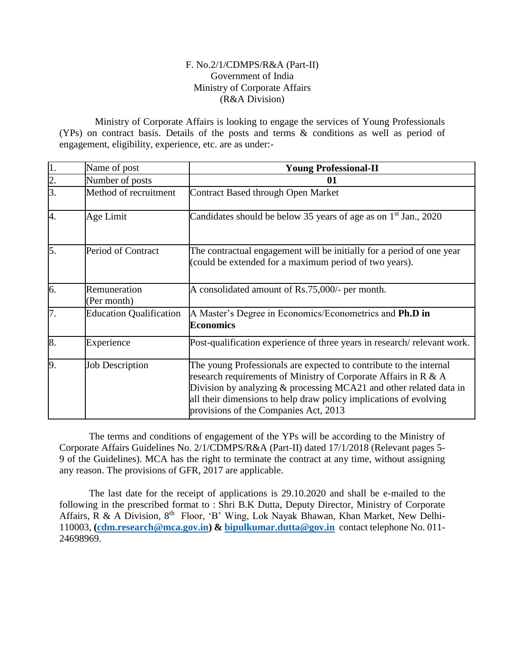#### F. No.2/1/CDMPS/R&A (Part-II) Government of India Ministry of Corporate Affairs (R&A Division)

 Ministry of Corporate Affairs is looking to engage the services of Young Professionals (YPs) on contract basis. Details of the posts and terms & conditions as well as period of engagement, eligibility, experience, etc. are as under:-

| $\overline{1}$ . | Name of post                   | <b>Young Professional-II</b>                                                                                                                                                                                                                                                                                                 |  |  |
|------------------|--------------------------------|------------------------------------------------------------------------------------------------------------------------------------------------------------------------------------------------------------------------------------------------------------------------------------------------------------------------------|--|--|
| $\overline{2}$ . | Number of posts                | 01                                                                                                                                                                                                                                                                                                                           |  |  |
| 3.               | Method of recruitment          | <b>Contract Based through Open Market</b>                                                                                                                                                                                                                                                                                    |  |  |
| 4.               | Age Limit                      | Candidates should be below 35 years of age as on $1st$ Jan., 2020                                                                                                                                                                                                                                                            |  |  |
| 5.               | Period of Contract             | The contractual engagement will be initially for a period of one year<br>(could be extended for a maximum period of two years).                                                                                                                                                                                              |  |  |
| 6.               | Remuneration<br>(Per month)    | A consolidated amount of Rs.75,000/- per month.                                                                                                                                                                                                                                                                              |  |  |
| $\overline{7}$ . | <b>Education Qualification</b> | A Master's Degree in Economics/Econometrics and Ph.D in<br><b>Economics</b>                                                                                                                                                                                                                                                  |  |  |
| 8.               | Experience                     | Post-qualification experience of three years in research/relevant work.                                                                                                                                                                                                                                                      |  |  |
| 9.               | <b>Job Description</b>         | The young Professionals are expected to contribute to the internal<br>research requirements of Ministry of Corporate Affairs in R & A<br>Division by analyzing $\&$ processing MCA21 and other related data in<br>all their dimensions to help draw policy implications of evolving<br>provisions of the Companies Act, 2013 |  |  |

The terms and conditions of engagement of the YPs will be according to the Ministry of Corporate Affairs Guidelines No. 2/1/CDMPS/R&A (Part-II) dated 17/1/2018 (Relevant pages 5- 9 of the Guidelines). MCA has the right to terminate the contract at any time, without assigning any reason. The provisions of GFR, 2017 are applicable.

The last date for the receipt of applications is 29.10.2020 and shall be e-mailed to the following in the prescribed format to : Shri B.K Dutta, Deputy Director, Ministry of Corporate Affairs, R & A Division, 8th Floor, 'B' Wing, Lok Nayak Bhawan, Khan Market, New Delhi-110003, **[\(cdm.research@mca.gov.in\)](mailto:cdm.research@mca.gov.in) & [bipulkumar.dutta@gov.in](mailto:bipulkumar.dutta@gov.in)** contact telephone No. 011- 24698969.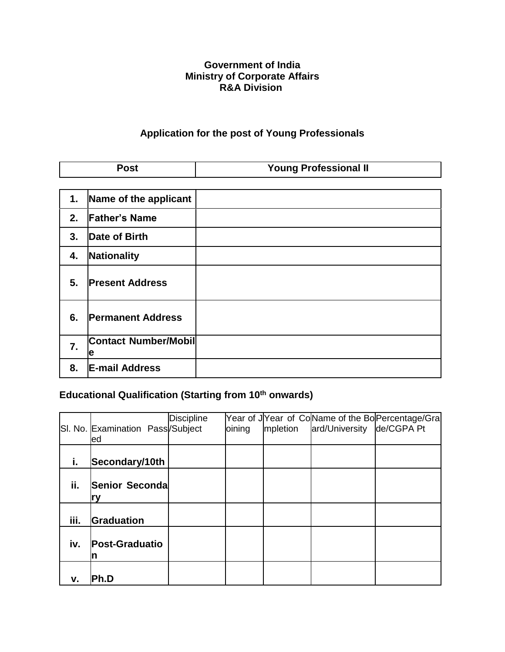### **Government of India Ministry of Corporate Affairs R&A Division**

# **Application for the post of Young Professionals**

| <b>Post</b>      |                                  | <b>Young Professional II</b> |  |  |  |
|------------------|----------------------------------|------------------------------|--|--|--|
|                  |                                  |                              |  |  |  |
| 1.               | Name of the applicant            |                              |  |  |  |
| 2.               | <b>Father's Name</b>             |                              |  |  |  |
| 3.               | Date of Birth                    |                              |  |  |  |
| 4.               | Nationality                      |                              |  |  |  |
| 5.               | <b>Present Address</b>           |                              |  |  |  |
| 6.               | <b>Permanent Address</b>         |                              |  |  |  |
| $\overline{7}$ . | <b>Contact Number/Mobil</b><br>e |                              |  |  |  |
| 8.               | <b>E-mail Address</b>            |                              |  |  |  |

# **Educational Qualification (Starting from 10th onwards)**

|      | SI. No. Examination Pass/Subject<br>led | <b>Discipline</b> | oining | mpletion | ard/University | Year of JYear of CoName of the Bo Percentage/Gra<br>de/CGPA Pt |
|------|-----------------------------------------|-------------------|--------|----------|----------------|----------------------------------------------------------------|
| i.   | Secondary/10th                          |                   |        |          |                |                                                                |
| ii.  | Senior Secondal                         |                   |        |          |                |                                                                |
| iii. | Graduation                              |                   |        |          |                |                                                                |
| iv.  | <b>Post-Graduatio</b><br>n              |                   |        |          |                |                                                                |
| v.   | Ph.D                                    |                   |        |          |                |                                                                |